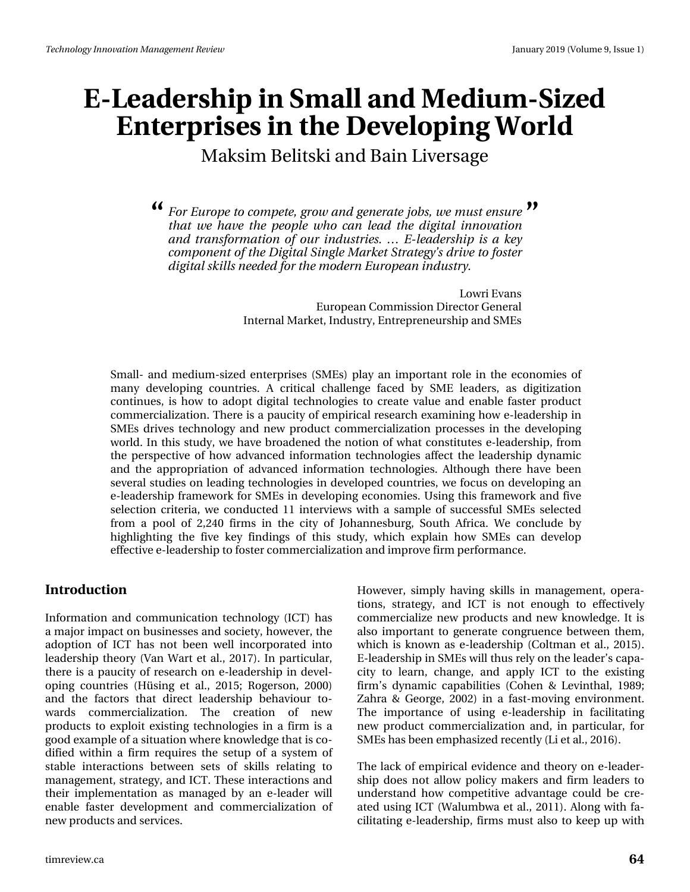Maksim Belitski and Bain Liversage

*For Europe to compete, grow and generate jobs, we must ensure* **" "***that we have the people who can lead the digital innovation and transformation of our industries. … E-leadership is a key component of the Digital Single Market Strategy's drive to foster digital skills needed for the modern European industry.*

> Lowri Evans European Commission Director General Internal Market, Industry, Entrepreneurship and SMEs

Small- and medium-sized enterprises (SMEs) play an important role in the economies of many developing countries. A critical challenge faced by SME leaders, as digitization continues, is how to adopt digital technologies to create value and enable faster product commercialization. There is a paucity of empirical research examining how e-leadership in SMEs drives technology and new product commercialization processes in the developing world. In this study, we have broadened the notion of what constitutes e-leadership, from the perspective of how advanced information technologies affect the leadership dynamic and the appropriation of advanced information technologies. Although there have been several studies on leading technologies in developed countries, we focus on developing an e-leadership framework for SMEs in developing economies. Using this framework and five selection criteria, we conducted 11 interviews with a sample of successful SMEs selected from a pool of 2,240 firms in the city of Johannesburg, South Africa. We conclude by highlighting the five key findings of this study, which explain how SMEs can develop effective e-leadership to foster commercialization and improve firm performance.

#### **Introduction**

Information and communication technology (ICT) has a major impact on businesses and society, however, the adoption of ICT has not been well incorporated into leadership theory (Van Wart et al., 2017). In particular, there is a paucity of research on e-leadership in developing countries (Hüsing et al., 2015; Rogerson, 2000) and the factors that direct leadership behaviour towards commercialization. The creation of new products to exploit existing technologies in a firm is a good example of a situation where knowledge that is codified within a firm requires the setup of a system of stable interactions between sets of skills relating to management, strategy, and ICT. These interactions and their implementation as managed by an e-leader will enable faster development and commercialization of new products and services.

However, simply having skills in management, operations, strategy, and ICT is not enough to effectively commercialize new products and new knowledge. It is also important to generate congruence between them, which is known as e-leadership (Coltman et al., 2015). E-leadership in SMEs will thus rely on the leader's capacity to learn, change, and apply ICT to the existing firm's dynamic capabilities (Cohen & Levinthal, 1989; Zahra & George, 2002) in a fast-moving environment. The importance of using e-leadership in facilitating new product commercialization and, in particular, for SMEs has been emphasized recently (Li et al., 2016).

The lack of empirical evidence and theory on e-leadership does not allow policy makers and firm leaders to understand how competitive advantage could be created using ICT (Walumbwa et al., 2011). Along with facilitating e-leadership, firms must also to keep up with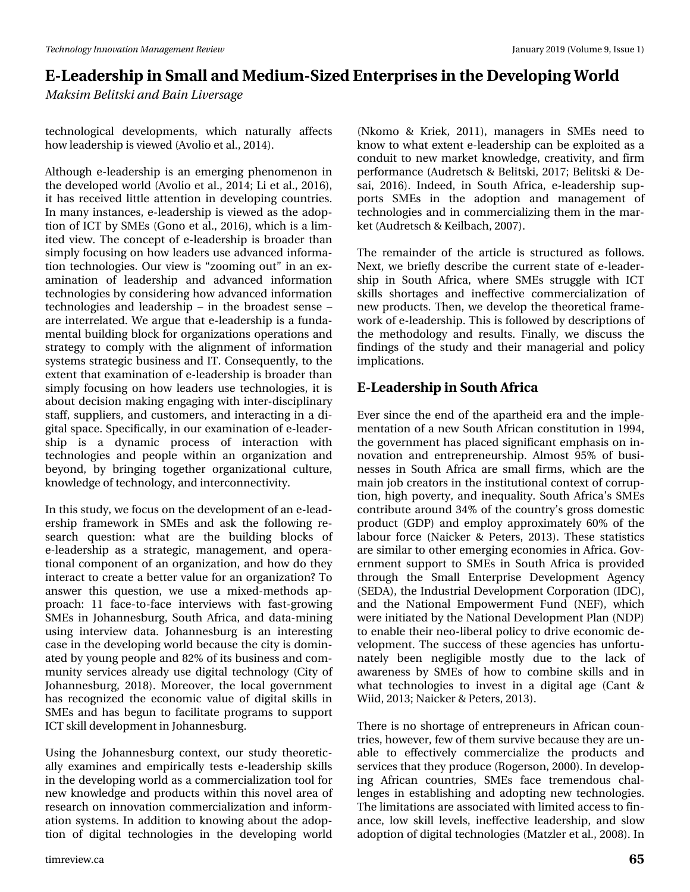*Maksim Belitski and Bain Liversage*

technological developments, which naturally affects how leadership is viewed (Avolio et al., 2014).

Although e-leadership is an emerging phenomenon in the developed world (Avolio et al., 2014; Li et al., 2016), it has received little attention in developing countries. In many instances, e-leadership is viewed as the adoption of ICT by SMEs (Gono et al., 2016), which is a limited view. The concept of e-leadership is broader than simply focusing on how leaders use advanced information technologies. Our view is "zooming out" in an examination of leadership and advanced information technologies by considering how advanced information technologies and leadership – in the broadest sense – are interrelated. We argue that e-leadership is a fundamental building block for organizations operations and strategy to comply with the alignment of information systems strategic business and IT. Consequently, to the extent that examination of e-leadership is broader than simply focusing on how leaders use technologies, it is about decision making engaging with inter-disciplinary staff, suppliers, and customers, and interacting in a digital space. Specifically, in our examination of e-leadership is a dynamic process of interaction with technologies and people within an organization and beyond, by bringing together organizational culture, knowledge of technology, and interconnectivity.

In this study, we focus on the development of an e-leadership framework in SMEs and ask the following research question: what are the building blocks of e-leadership as a strategic, management, and operational component of an organization, and how do they interact to create a better value for an organization? To answer this question, we use a mixed-methods approach: 11 face-to-face interviews with fast-growing SMEs in Johannesburg, South Africa, and data-mining using interview data. Johannesburg is an interesting case in the developing world because the city is dominated by young people and 82% of its business and community services already use digital technology (City of Johannesburg, 2018). Moreover, the local government has recognized the economic value of digital skills in SMEs and has begun to facilitate programs to support ICT skill development in Johannesburg.

Using the Johannesburg context, our study theoretically examines and empirically tests e-leadership skills in the developing world as a commercialization tool for new knowledge and products within this novel area of research on innovation commercialization and information systems. In addition to knowing about the adoption of digital technologies in the developing world

(Nkomo & Kriek, 2011), managers in SMEs need to know to what extent e-leadership can be exploited as a conduit to new market knowledge, creativity, and firm performance (Audretsch & Belitski, 2017; Belitski & Desai, 2016). Indeed, in South Africa, e-leadership supports SMEs in the adoption and management of technologies and in commercializing them in the market (Audretsch & Keilbach, 2007).

The remainder of the article is structured as follows. Next, we briefly describe the current state of e-leadership in South Africa, where SMEs struggle with ICT skills shortages and ineffective commercialization of new products. Then, we develop the theoretical framework of e-leadership. This is followed by descriptions of the methodology and results. Finally, we discuss the findings of the study and their managerial and policy implications.

#### **E-Leadership in South Africa**

Ever since the end of the apartheid era and the implementation of a new South African constitution in 1994, the government has placed significant emphasis on innovation and entrepreneurship. Almost 95% of businesses in South Africa are small firms, which are the main job creators in the institutional context of corruption, high poverty, and inequality. South Africa's SMEs contribute around 34% of the country's gross domestic product (GDP) and employ approximately 60% of the labour force (Naicker & Peters, 2013). These statistics are similar to other emerging economies in Africa. Government support to SMEs in South Africa is provided through the Small Enterprise Development Agency (SEDA), the Industrial Development Corporation (IDC), and the National Empowerment Fund (NEF), which were initiated by the National Development Plan (NDP) to enable their neo-liberal policy to drive economic development. The success of these agencies has unfortunately been negligible mostly due to the lack of awareness by SMEs of how to combine skills and in what technologies to invest in a digital age (Cant & Wiid, 2013; Naicker & Peters, 2013).

There is no shortage of entrepreneurs in African countries, however, few of them survive because they are unable to effectively commercialize the products and services that they produce (Rogerson, 2000). In developing African countries, SMEs face tremendous challenges in establishing and adopting new technologies. The limitations are associated with limited access to finance, low skill levels, ineffective leadership, and slow adoption of digital technologies (Matzler et al., 2008). In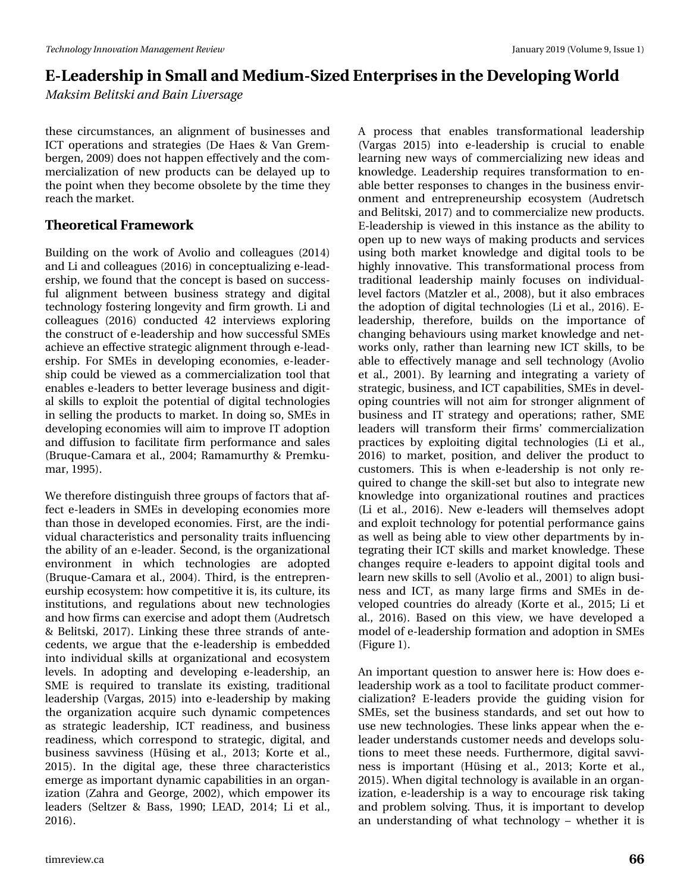*Maksim Belitski and Bain Liversage*

these circumstances, an alignment of businesses and ICT operations and strategies (De Haes & Van Grembergen, 2009) does not happen effectively and the commercialization of new products can be delayed up to the point when they become obsolete by the time they reach the market.

#### **Theoretical Framework**

Building on the work of Avolio and colleagues (2014) and Li and colleagues (2016) in conceptualizing e-leadership, we found that the concept is based on successful alignment between business strategy and digital technology fostering longevity and firm growth. Li and colleagues (2016) conducted 42 interviews exploring the construct of e-leadership and how successful SMEs achieve an effective strategic alignment through e-leadership. For SMEs in developing economies, e-leadership could be viewed as a commercialization tool that enables e-leaders to better leverage business and digital skills to exploit the potential of digital technologies in selling the products to market. In doing so, SMEs in developing economies will aim to improve IT adoption and diffusion to facilitate firm performance and sales (Bruque-Camara et al., 2004; Ramamurthy & Premkumar, 1995).

We therefore distinguish three groups of factors that affect e-leaders in SMEs in developing economies more than those in developed economies. First, are the individual characteristics and personality traits influencing the ability of an e-leader. Second, is the organizational environment in which technologies are adopted (Bruque-Camara et al., 2004). Third, is the entrepreneurship ecosystem: how competitive it is, its culture, its institutions, and regulations about new technologies and how firms can exercise and adopt them (Audretsch & Belitski, 2017). Linking these three strands of antecedents, we argue that the e-leadership is embedded into individual skills at organizational and ecosystem levels. In adopting and developing e-leadership, an SME is required to translate its existing, traditional leadership (Vargas, 2015) into e-leadership by making the organization acquire such dynamic competences as strategic leadership, ICT readiness, and business readiness, which correspond to strategic, digital, and business savviness (Hüsing et al., 2013; Korte et al., 2015). In the digital age, these three characteristics emerge as important dynamic capabilities in an organization (Zahra and George, 2002), which empower its leaders (Seltzer & Bass, 1990; LEAD, 2014; Li et al., 2016).

learning new ways of commercializing new ideas and knowledge. Leadership requires transformation to enable better responses to changes in the business environment and entrepreneurship ecosystem (Audretsch and Belitski, 2017) and to commercialize new products. E-leadership is viewed in this instance as the ability to open up to new ways of making products and services using both market knowledge and digital tools to be highly innovative. This transformational process from traditional leadership mainly focuses on individuallevel factors (Matzler et al., 2008), but it also embraces the adoption of digital technologies (Li et al., 2016). Eleadership, therefore, builds on the importance of changing behaviours using market knowledge and networks only, rather than learning new ICT skills, to be able to effectively manage and sell technology (Avolio et al., 2001). By learning and integrating a variety of strategic, business, and ICT capabilities, SMEs in developing countries will not aim for stronger alignment of business and IT strategy and operations; rather, SME leaders will transform their firms' commercialization practices by exploiting digital technologies (Li et al., 2016) to market, position, and deliver the product to customers. This is when e-leadership is not only required to change the skill-set but also to integrate new knowledge into organizational routines and practices (Li et al., 2016). New e-leaders will themselves adopt and exploit technology for potential performance gains as well as being able to view other departments by integrating their ICT skills and market knowledge. These changes require e-leaders to appoint digital tools and learn new skills to sell (Avolio et al., 2001) to align business and ICT, as many large firms and SMEs in developed countries do already (Korte et al., 2015; Li et al., 2016). Based on this view, we have developed a model of e-leadership formation and adoption in SMEs (Figure 1).

A process that enables transformational leadership (Vargas 2015) into e-leadership is crucial to enable

An important question to answer here is: How does eleadership work as a tool to facilitate product commercialization? E-leaders provide the guiding vision for SMEs, set the business standards, and set out how to use new technologies. These links appear when the eleader understands customer needs and develops solutions to meet these needs. Furthermore, digital savviness is important (Hüsing et al., 2013; Korte et al., 2015). When digital technology is available in an organization, e-leadership is a way to encourage risk taking and problem solving. Thus, it is important to develop an understanding of what technology – whether it is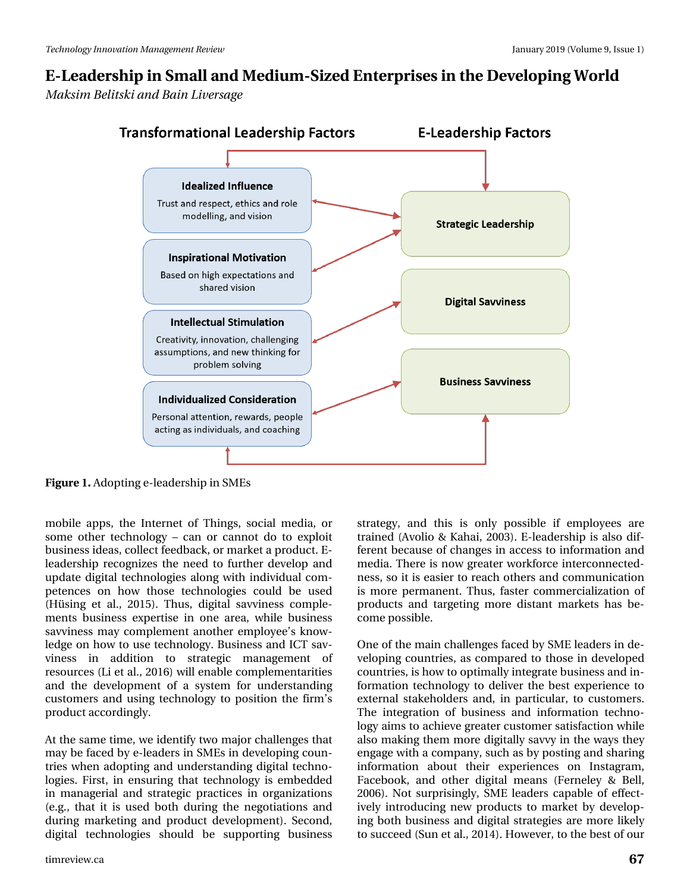*Maksim Belitski and Bain Liversage*



**Figure 1.** Adopting e-leadership in SMEs

mobile apps, the Internet of Things, social media, or some other technology – can or cannot do to exploit business ideas, collect feedback, or market a product. Eleadership recognizes the need to further develop and update digital technologies along with individual competences on how those technologies could be used (Hüsing et al., 2015). Thus, digital savviness complements business expertise in one area, while business savviness may complement another employee's knowledge on how to use technology. Business and ICT savviness in addition to strategic management of resources (Li et al., 2016) will enable complementarities and the development of a system for understanding customers and using technology to position the firm's product accordingly.

At the same time, we identify two major challenges that may be faced by e-leaders in SMEs in developing countries when adopting and understanding digital technologies. First, in ensuring that technology is embedded in managerial and strategic practices in organizations (e.g., that it is used both during the negotiations and during marketing and product development). Second, digital technologies should be supporting business

strategy, and this is only possible if employees are trained (Avolio & Kahai, 2003). E-leadership is also different because of changes in access to information and media. There is now greater workforce interconnectedness, so it is easier to reach others and communication is more permanent. Thus, faster commercialization of products and targeting more distant markets has become possible.

One of the main challenges faced by SME leaders in developing countries, as compared to those in developed countries, is how to optimally integrate business and information technology to deliver the best experience to external stakeholders and, in particular, to customers. The integration of business and information technology aims to achieve greater customer satisfaction while also making them more digitally savvy in the ways they engage with a company, such as by posting and sharing information about their experiences on Instagram, Facebook, and other digital means (Ferneley & Bell, 2006). Not surprisingly, SME leaders capable of effectively introducing new products to market by developing both business and digital strategies are more likely to succeed (Sun et al., 2014). However, to the best of our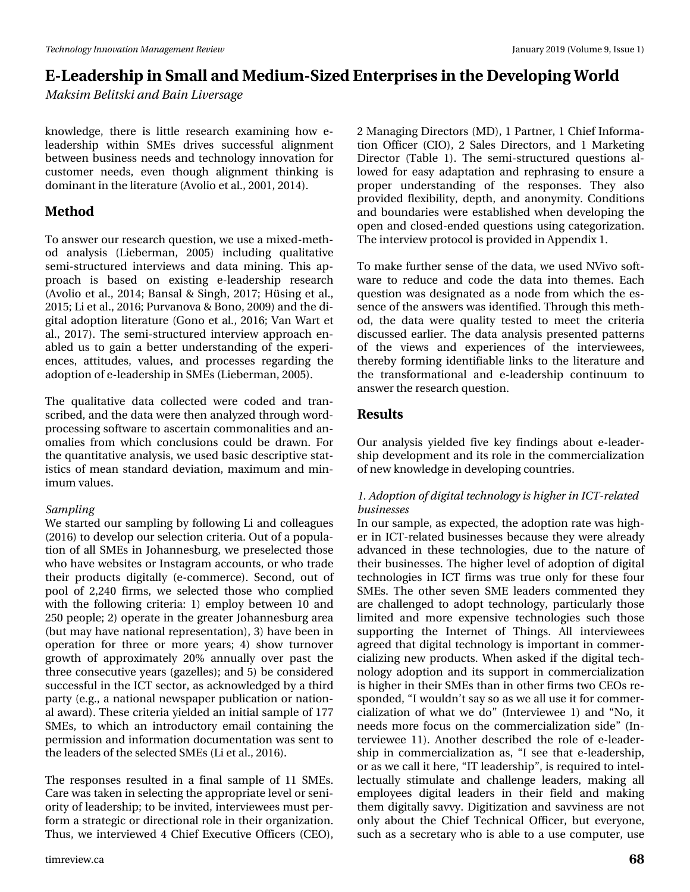*Maksim Belitski and Bain Liversage*

knowledge, there is little research examining how eleadership within SMEs drives successful alignment between business needs and technology innovation for customer needs, even though alignment thinking is dominant in the literature (Avolio et al., 2001, 2014).

#### **Method**

To answer our research question, we use a mixed-method analysis (Lieberman, 2005) including qualitative semi-structured interviews and data mining. This approach is based on existing e-leadership research (Avolio et al., 2014; Bansal & Singh, 2017; Hüsing et al., 2015; Li et al., 2016; Purvanova & Bono, 2009) and the digital adoption literature (Gono et al., 2016; Van Wart et al., 2017). The semi-structured interview approach enabled us to gain a better understanding of the experiences, attitudes, values, and processes regarding the adoption of e-leadership in SMEs (Lieberman, 2005).

The qualitative data collected were coded and transcribed, and the data were then analyzed through wordprocessing software to ascertain commonalities and anomalies from which conclusions could be drawn. For the quantitative analysis, we used basic descriptive statistics of mean standard deviation, maximum and minimum values.

#### *Sampling*

We started our sampling by following Li and colleagues (2016) to develop our selection criteria. Out of a population of all SMEs in Johannesburg, we preselected those who have websites or Instagram accounts, or who trade their products digitally (e-commerce). Second, out of pool of 2,240 firms, we selected those who complied with the following criteria: 1) employ between 10 and 250 people; 2) operate in the greater Johannesburg area (but may have national representation), 3) have been in operation for three or more years; 4) show turnover growth of approximately 20% annually over past the three consecutive years (gazelles); and 5) be considered successful in the ICT sector, as acknowledged by a third party (e.g., a national newspaper publication or national award). These criteria yielded an initial sample of 177 SMEs, to which an introductory email containing the permission and information documentation was sent to the leaders of the selected SMEs (Li et al., 2016).

The responses resulted in a final sample of 11 SMEs. Care was taken in selecting the appropriate level or seniority of leadership; to be invited, interviewees must perform a strategic or directional role in their organization. Thus, we interviewed 4 Chief Executive Officers (CEO), 2 Managing Directors (MD), 1 Partner, 1 Chief Information Officer (CIO), 2 Sales Directors, and 1 Marketing Director (Table 1). The semi-structured questions allowed for easy adaptation and rephrasing to ensure a proper understanding of the responses. They also provided flexibility, depth, and anonymity. Conditions and boundaries were established when developing the open and closed-ended questions using categorization. The interview protocol is provided in Appendix 1.

To make further sense of the data, we used NVivo software to reduce and code the data into themes. Each question was designated as a node from which the essence of the answers was identified. Through this method, the data were quality tested to meet the criteria discussed earlier. The data analysis presented patterns of the views and experiences of the interviewees, thereby forming identifiable links to the literature and the transformational and e-leadership continuum to answer the research question.

#### **Results**

Our analysis yielded five key findings about e-leadership development and its role in the commercialization of new knowledge in developing countries.

#### *1. Adoption of digital technology is higher in ICT-related businesses*

In our sample, as expected, the adoption rate was higher in ICT-related businesses because they were already advanced in these technologies, due to the nature of their businesses. The higher level of adoption of digital technologies in ICT firms was true only for these four SMEs. The other seven SME leaders commented they are challenged to adopt technology, particularly those limited and more expensive technologies such those supporting the Internet of Things. All interviewees agreed that digital technology is important in commercializing new products. When asked if the digital technology adoption and its support in commercialization is higher in their SMEs than in other firms two CEOs responded, "I wouldn't say so as we all use it for commercialization of what we do" (Interviewee 1) and "No, it needs more focus on the commercialization side" (Interviewee 11). Another described the role of e-leadership in commercialization as, "I see that e-leadership, or as we call it here, "IT leadership", is required to intellectually stimulate and challenge leaders, making all employees digital leaders in their field and making them digitally savvy. Digitization and savviness are not only about the Chief Technical Officer, but everyone, such as a secretary who is able to a use computer, use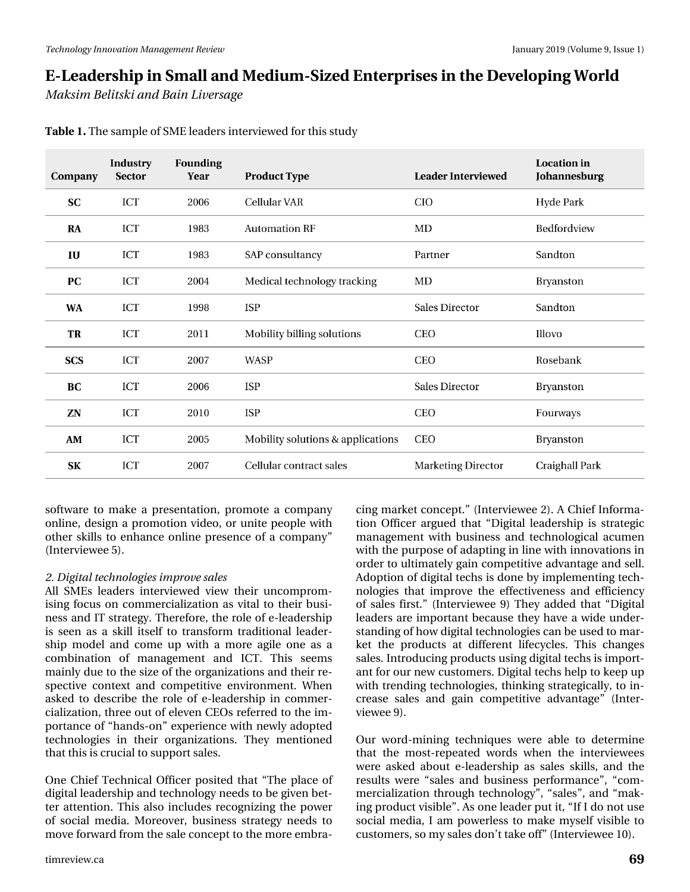*Maksim Belitski and Bain Liversage*

| Company    | <b>Industry</b><br><b>Sector</b> | <b>Founding</b><br>Year | <b>Product Type</b>               | <b>Leader Interviewed</b> | <b>Location</b> in<br>Johannesburg |
|------------|----------------------------------|-------------------------|-----------------------------------|---------------------------|------------------------------------|
| <b>SC</b>  | ICT                              | 2006                    | Cellular VAR                      | <b>CIO</b>                | <b>Hyde Park</b>                   |
| RA         | ICT                              | 1983                    | <b>Automation RF</b>              | MD                        | Bedfordview                        |
| IU         | ICT                              | 1983                    | SAP consultancy                   | Partner                   | Sandton                            |
| <b>PC</b>  | ICT                              | 2004                    | Medical technology tracking       | MD                        | Bryanston                          |
| <b>WA</b>  | ICT                              | 1998                    | <b>ISP</b>                        | <b>Sales Director</b>     | Sandton                            |
| TR         | ICT                              | 2011                    | Mobility billing solutions        | <b>CEO</b>                | Illovo                             |
| <b>SCS</b> | ICT                              | 2007                    | <b>WASP</b>                       | <b>CEO</b>                | Rosebank                           |
| BC         | ICT                              | 2006                    | <b>ISP</b>                        | <b>Sales Director</b>     | Bryanston                          |
| ZN         | ICT                              | 2010                    | <b>ISP</b>                        | <b>CEO</b>                | Fourways                           |
| AM         | <b>ICT</b>                       | 2005                    | Mobility solutions & applications | <b>CEO</b>                | Bryanston                          |
| SK         | ICT                              | 2007                    | Cellular contract sales           | <b>Marketing Director</b> | Craighall Park                     |

**Table 1.** The sample of SME leaders interviewed for this study

software to make a presentation, promote a company online, design a promotion video, or unite people with other skills to enhance online presence of a company" (Interviewee 5).

#### *2. Digital technologies improve sales*

All SMEs leaders interviewed view their uncompromising focus on commercialization as vital to their business and IT strategy. Therefore, the role of e-leadership is seen as a skill itself to transform traditional leadership model and come up with a more agile one as a combination of management and ICT. This seems mainly due to the size of the organizations and their respective context and competitive environment. When asked to describe the role of e-leadership in commercialization, three out of eleven CEOs referred to the importance of "hands-on" experience with newly adopted technologies in their organizations. They mentioned that this is crucial to support sales.

One Chief Technical Officer posited that "The place of digital leadership and technology needs to be given better attention. This also includes recognizing the power of social media. Moreover, business strategy needs to move forward from the sale concept to the more embracing market concept." (Interviewee 2). A Chief Information Officer argued that "Digital leadership is strategic management with business and technological acumen with the purpose of adapting in line with innovations in order to ultimately gain competitive advantage and sell. Adoption of digital techs is done by implementing technologies that improve the effectiveness and efficiency of sales first." (Interviewee 9) They added that "Digital leaders are important because they have a wide understanding of how digital technologies can be used to market the products at different lifecycles. This changes sales. Introducing products using digital techs is important for our new customers. Digital techs help to keep up with trending technologies, thinking strategically, to increase sales and gain competitive advantage" (Interviewee 9).

Our word-mining techniques were able to determine that the most-repeated words when the interviewees were asked about e-leadership as sales skills, and the results were "sales and business performance", "commercialization through technology", "sales", and "making product visible". As one leader put it, "If I do not use social media, I am powerless to make myself visible to customers, so my sales don't take off" (Interviewee 10).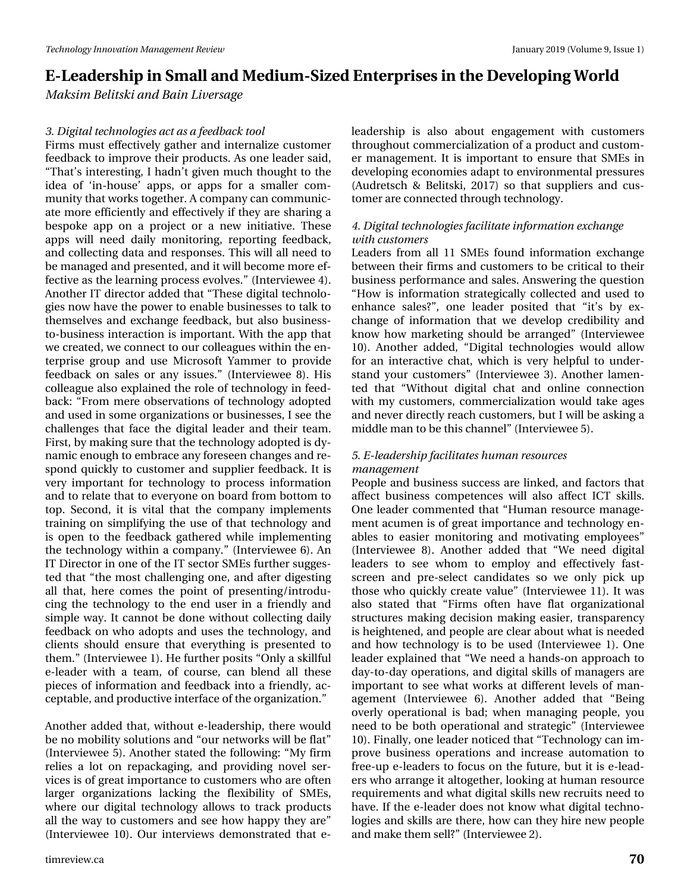*Maksim Belitski and Bain Liversage*

#### *3. Digital technologies act as a feedback tool*

Firms must effectively gather and internalize customer feedback to improve their products. As one leader said, "That's interesting, I hadn't given much thought to the idea of 'in-house' apps, or apps for a smaller community that works together. A company can communicate more efficiently and effectively if they are sharing a bespoke app on a project or a new initiative. These apps will need daily monitoring, reporting feedback, and collecting data and responses. This will all need to be managed and presented, and it will become more effective as the learning process evolves." (Interviewee 4). Another IT director added that "These digital technologies now have the power to enable businesses to talk to themselves and exchange feedback, but also businessto-business interaction is important. With the app that we created, we connect to our colleagues within the enterprise group and use Microsoft Yammer to provide feedback on sales or any issues." (Interviewee 8). His colleague also explained the role of technology in feedback: "From mere observations of technology adopted and used in some organizations or businesses, I see the challenges that face the digital leader and their team. First, by making sure that the technology adopted is dynamic enough to embrace any foreseen changes and respond quickly to customer and supplier feedback. It is very important for technology to process information and to relate that to everyone on board from bottom to top. Second, it is vital that the company implements training on simplifying the use of that technology and is open to the feedback gathered while implementing the technology within a company." (Interviewee 6). An IT Director in one of the IT sector SMEs further suggested that "the most challenging one, and after digesting all that, here comes the point of presenting/introducing the technology to the end user in a friendly and simple way. It cannot be done without collecting daily feedback on who adopts and uses the technology, and clients should ensure that everything is presented to them." (Interviewee 1). He further posits "Only a skillful e-leader with a team, of course, can blend all these pieces of information and feedback into a friendly, acceptable, and productive interface of the organization."

Another added that, without e-leadership, there would be no mobility solutions and "our networks will be flat" (Interviewee 5). Another stated the following: "My firm relies a lot on repackaging, and providing novel services is of great importance to customers who are often larger organizations lacking the flexibility of SMEs, where our digital technology allows to track products all the way to customers and see how happy they are" (Interviewee 10). Our interviews demonstrated that eleadership is also about engagement with customers throughout commercialization of a product and customer management. It is important to ensure that SMEs in developing economies adapt to environmental pressures (Audretsch & Belitski, 2017) so that suppliers and customer are connected through technology.

#### *4. Digital technologies facilitate information exchange with customers*

Leaders from all 11 SMEs found information exchange between their firms and customers to be critical to their business performance and sales. Answering the question "How is information strategically collected and used to enhance sales?", one leader posited that "it's by exchange of information that we develop credibility and know how marketing should be arranged" (Interviewee 10). Another added, "Digital technologies would allow for an interactive chat, which is very helpful to understand your customers" (Interviewee 3). Another lamented that "Without digital chat and online connection with my customers, commercialization would take ages and never directly reach customers, but I will be asking a middle man to be this channel" (Interviewee 5).

#### *5. E-leadership facilitates human resources management*

People and business success are linked, and factors that affect business competences will also affect ICT skills. One leader commented that "Human resource management acumen is of great importance and technology enables to easier monitoring and motivating employees" (Interviewee 8). Another added that "We need digital leaders to see whom to employ and effectively fastscreen and pre-select candidates so we only pick up those who quickly create value" (Interviewee 11). It was also stated that "Firms often have flat organizational structures making decision making easier, transparency is heightened, and people are clear about what is needed and how technology is to be used (Interviewee 1). One leader explained that "We need a hands-on approach to day-to-day operations, and digital skills of managers are important to see what works at different levels of management (Interviewee 6). Another added that "Being overly operational is bad; when managing people, you need to be both operational and strategic" (Interviewee 10). Finally, one leader noticed that "Technology can improve business operations and increase automation to free-up e-leaders to focus on the future, but it is e-leaders who arrange it altogether, looking at human resource requirements and what digital skills new recruits need to have. If the e-leader does not know what digital technologies and skills are there, how can they hire new people and make them sell?" (Interviewee 2).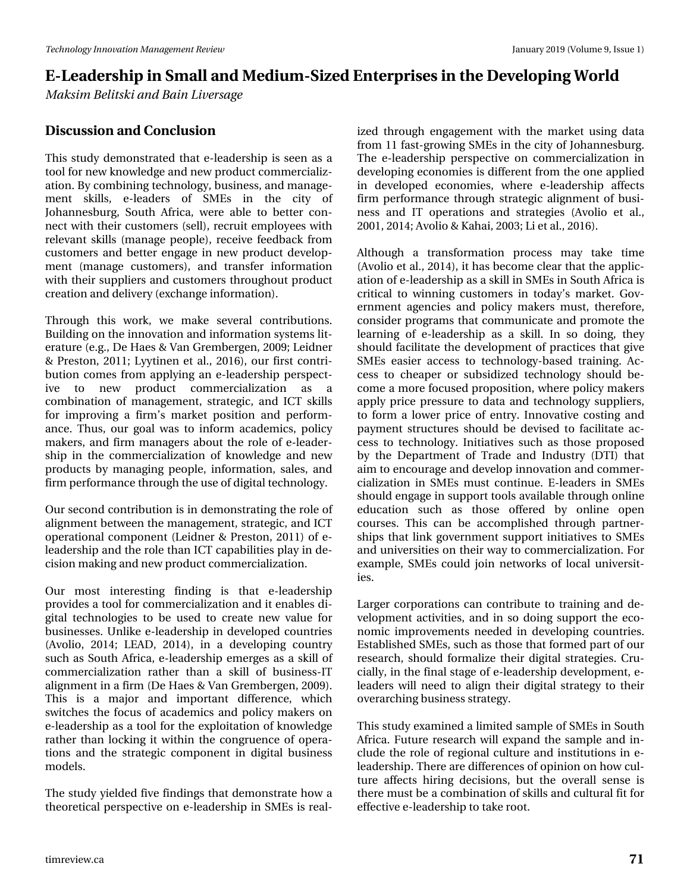*Maksim Belitski and Bain Liversage*

#### **Discussion and Conclusion**

This study demonstrated that e-leadership is seen as a tool for new knowledge and new product commercialization. By combining technology, business, and management skills, e-leaders of SMEs in the city of Johannesburg, South Africa, were able to better connect with their customers (sell), recruit employees with relevant skills (manage people), receive feedback from customers and better engage in new product development (manage customers), and transfer information with their suppliers and customers throughout product creation and delivery (exchange information).

Through this work, we make several contributions. Building on the innovation and information systems literature (e.g., De Haes & Van Grembergen, 2009; Leidner & Preston, 2011; Lyytinen et al., 2016), our first contribution comes from applying an e-leadership perspective to new product commercialization as a combination of management, strategic, and ICT skills for improving a firm's market position and performance. Thus, our goal was to inform academics, policy makers, and firm managers about the role of e-leadership in the commercialization of knowledge and new products by managing people, information, sales, and firm performance through the use of digital technology.

Our second contribution is in demonstrating the role of alignment between the management, strategic, and ICT operational component (Leidner & Preston, 2011) of eleadership and the role than ICT capabilities play in decision making and new product commercialization.

Our most interesting finding is that e-leadership provides a tool for commercialization and it enables digital technologies to be used to create new value for businesses. Unlike e-leadership in developed countries (Avolio, 2014; LEAD, 2014), in a developing country such as South Africa, e-leadership emerges as a skill of commercialization rather than a skill of business-IT alignment in a firm (De Haes & Van Grembergen, 2009). This is a major and important difference, which switches the focus of academics and policy makers on e-leadership as a tool for the exploitation of knowledge rather than locking it within the congruence of operations and the strategic component in digital business models.

The study yielded five findings that demonstrate how a theoretical perspective on e-leadership in SMEs is real-

ized through engagement with the market using data from 11 fast-growing SMEs in the city of Johannesburg. The e-leadership perspective on commercialization in developing economies is different from the one applied in developed economies, where e-leadership affects firm performance through strategic alignment of business and IT operations and strategies (Avolio et al., 2001, 2014; Avolio & Kahai, 2003; Li et al., 2016).

Although a transformation process may take time (Avolio et al., 2014), it has become clear that the application of e-leadership as a skill in SMEs in South Africa is critical to winning customers in today's market. Government agencies and policy makers must, therefore, consider programs that communicate and promote the learning of e-leadership as a skill. In so doing, they should facilitate the development of practices that give SMEs easier access to technology-based training. Access to cheaper or subsidized technology should become a more focused proposition, where policy makers apply price pressure to data and technology suppliers, to form a lower price of entry. Innovative costing and payment structures should be devised to facilitate access to technology. Initiatives such as those proposed by the Department of Trade and Industry (DTI) that aim to encourage and develop innovation and commercialization in SMEs must continue. E-leaders in SMEs should engage in support tools available through online education such as those offered by online open courses. This can be accomplished through partnerships that link government support initiatives to SMEs and universities on their way to commercialization. For example, SMEs could join networks of local universities.

Larger corporations can contribute to training and development activities, and in so doing support the economic improvements needed in developing countries. Established SMEs, such as those that formed part of our research, should formalize their digital strategies. Crucially, in the final stage of e-leadership development, eleaders will need to align their digital strategy to their overarching business strategy.

This study examined a limited sample of SMEs in South Africa. Future research will expand the sample and include the role of regional culture and institutions in eleadership. There are differences of opinion on how culture affects hiring decisions, but the overall sense is there must be a combination of skills and cultural fit for effective e-leadership to take root.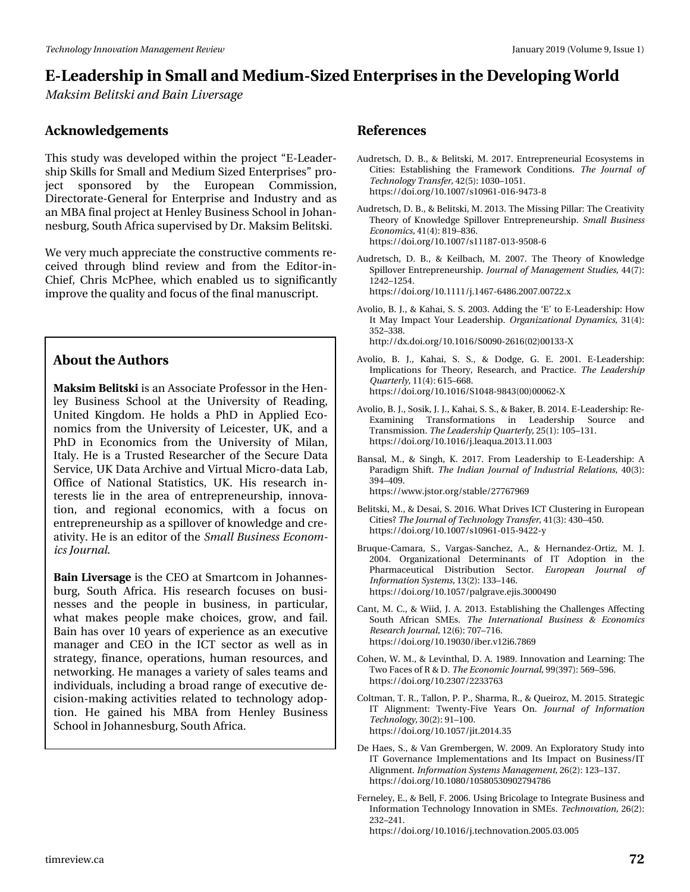*Maksim Belitski and Bain Liversage*

#### **Acknowledgements**

This study was developed within the project "E-Leadership Skills for Small and Medium Sized Enterprises" project sponsored by the European Commission, Directorate-General for Enterprise and Industry and as an MBA final project at Henley Business School in Johannesburg, South Africa supervised by Dr. Maksim Belitski.

We very much appreciate the constructive comments received through blind review and from the Editor-in-Chief, Chris McPhee, which enabled us to significantly improve the quality and focus of the final manuscript.

#### **About the Authors**

**Maksim Belitski** is an Associate Professor in the Henley Business School at the University of Reading, United Kingdom. He holds a PhD in Applied Economics from the University of Leicester, UK, and a PhD in Economics from the University of Milan, Italy. He is a Trusted Researcher of the Secure Data Service, UK Data Archive and Virtual Micro-data Lab, Office of National Statistics, UK. His research interests lie in the area of entrepreneurship, innovation, and regional economics, with a focus on entrepreneurship as a spillover of knowledge and creativity. He is an editor of the *Small Business Economics Journal.*

**Bain Liversage** is the CEO at Smartcom in Johannesburg, South Africa. His research focuses on businesses and the people in business, in particular, what makes people make choices, grow, and fail. Bain has over 10 years of experience as an executive manager and CEO in the ICT sector as well as in strategy, finance, operations, human resources, and networking. He manages a variety of sales teams and individuals, including a broad range of executive decision-making activities related to technology adoption. He gained his MBA from Henley Business School in Johannesburg, South Africa.

#### **References**

- Audretsch, D. B., & Belitski, M. 2017. Entrepreneurial Ecosystems in Cities: Establishing the Framework Conditions. *The Journal of Technology Transfer,* 42(5): 1030–1051. https://doi.org/10.1007/s10961-016-9473-8
- Audretsch, D. B., & Belitski, M. 2013. The Missing Pillar: The Creativity Theory of Knowledge Spillover Entrepreneurship. *Small Business Economics,* 41(4): 819–836. https://doi.org/10.1007/s11187-013-9508-6
- Audretsch, D. B., & Keilbach, M. 2007. The Theory of Knowledge Spillover Entrepreneurship. *Journal of Management Studies,* 44(7): 1242–1254. https://doi.org/10.1111/j.1467-6486.2007.00722.x
- Avolio, B. J., & Kahai, S. S. 2003. Adding the 'E' to E-Leadership: How It May Impact Your Leadership. *Organizational Dynamics,* 31(4): 352–338. http://dx.doi.org/10.1016/S0090-2616(02)00133-X
- Avolio, B. J., Kahai, S. S., & Dodge, G. E. 2001. E-Leadership: Implications for Theory, Research, and Practice. *The Leadership Quarterly,* 11(4): 615–668. https://doi.org/10.1016/S1048-9843(00)00062-X
- Avolio, B. J., Sosik, J. J., Kahai, S. S., & Baker, B. 2014. E-Leadership: Re-Examining Transformations in Leadership Source and Transmission. *The Leadership Quarterly,* 25(1): 105–131. https://doi.org/10.1016/j.leaqua.2013.11.003
- Bansal, M., & Singh, K. 2017. From Leadership to E-Leadership: A Paradigm Shift. *The Indian Journal of Industrial Relations,* 40(3): 394–409. https://www.jstor.org/stable/27767969
- Belitski, M., & Desai, S. 2016. What Drives ICT Clustering in European Cities? *The Journal of Technology Transfer,* 41(3): 430–450. https://doi.org/10.1007/s10961-015-9422-y
- Bruque-Camara, S., Vargas-Sanchez, A., & Hernandez-Ortiz, M. J. 2004. Organizational Determinants of IT Adoption in the Pharmaceutical Distribution Sector. *European Journal of Information Systems,* 13(2): 133–146. https://doi.org/10.1057/palgrave.ejis.3000490
- Cant, M. C., & Wiid, J. A. 2013. Establishing the Challenges Affecting South African SMEs. *The International Business & Economics Research Journal,* 12(6): 707–716. https://doi.org/10.19030/iber.v12i6.7869
- Cohen, W. M., & Levinthal, D. A. 1989. Innovation and Learning: The Two Faces of R & D. *The Economic Journal,* 99(397): 569–596. https://doi.org/10.2307/2233763
- Coltman, T. R., Tallon, P. P., Sharma, R., & Queiroz, M. 2015. Strategic IT Alignment: Twenty-Five Years On. *Journal of Information Technology,* 30(2): 91–100. https://doi.org/10.1057/jit.2014.35
- De Haes, S., & Van Grembergen, W. 2009. An Exploratory Study into IT Governance Implementations and Its Impact on Business/IT Alignment. *Information Systems Management,* 26(2): 123–137. https://doi.org/10.1080/10580530902794786
- Ferneley, E., & Bell, F. 2006. Using Bricolage to Integrate Business and Information Technology Innovation in SMEs. *Technovation,* 26(2): 232–241.

https://doi.org/10.1016/j.technovation.2005.03.005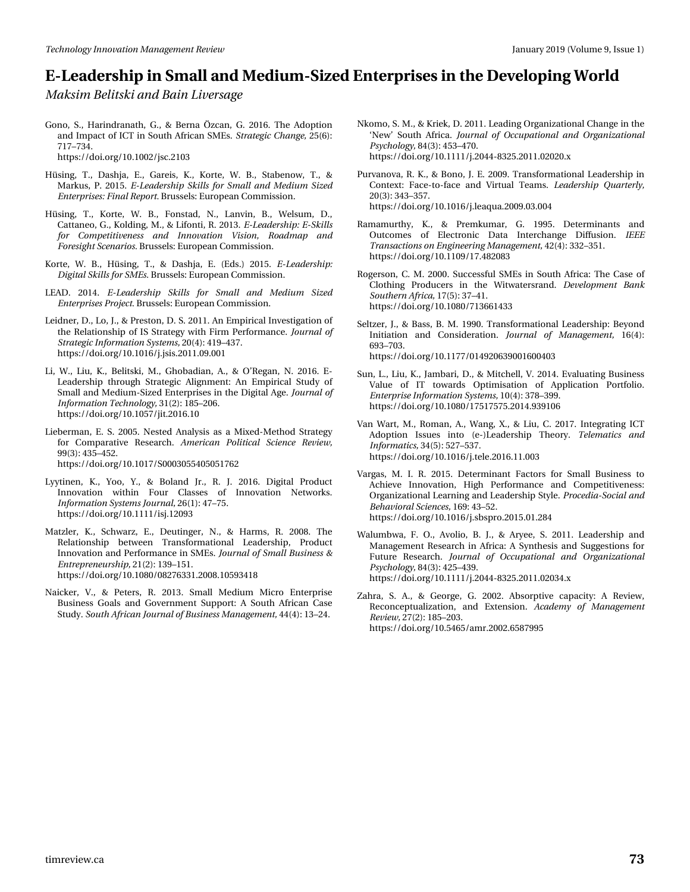*Maksim Belitski and Bain Liversage*

Gono, S., Harindranath, G., & Berna Özcan, G. 2016. The Adoption and Impact of ICT in South African SMEs. *Strategic Change,* 25(6): 717–734. https://doi.org/10.1002/jsc.2103

- Hüsing, T., Dashja, E., Gareis, K., Korte, W. B., Stabenow, T., & Markus, P. 2015. *E-Leadership Skills for Small and Medium Sized Enterprises: Final Report.* Brussels: European Commission.
- Hüsing, T., Korte, W. B., Fonstad, N., Lanvin, B., Welsum, D., Cattaneo, G., Kolding, M., & Lifonti, R. 2013. *E-Leadership: E-Skills for Competitiveness and Innovation Vision, Roadmap and Foresight Scenarios.* Brussels: European Commission.
- Korte, W. B., Hüsing, T., & Dashja, E. (Eds.) 2015. *E-Leadership: Digital Skills for SMEs.* Brussels: European Commission.
- LEAD. 2014. *E-Leadership Skills for Small and Medium Sized Enterprises Project.* Brussels: European Commission.
- Leidner, D., Lo, J., & Preston, D. S. 2011. An Empirical Investigation of the Relationship of IS Strategy with Firm Performance. *Journal of Strategic Information Systems,* 20(4): 419–437. https://doi.org/10.1016/j.jsis.2011.09.001
- Li, W., Liu, K., Belitski, M., Ghobadian, A., & O'Regan, N. 2016. E-Leadership through Strategic Alignment: An Empirical Study of Small and Medium-Sized Enterprises in the Digital Age. *Journal of Information Technology,* 31(2): 185–206. https://doi.org/10.1057/jit.2016.10
- Lieberman, E. S. 2005. Nested Analysis as a Mixed-Method Strategy for Comparative Research. *American Political Science Review,* 99(3): 435–452. https://doi.org/10.1017/S0003055405051762
- Lyytinen, K., Yoo, Y., & Boland Jr., R. J. 2016. Digital Product Innovation within Four Classes of Innovation Networks. *Information Systems Journal,* 26(1): 47–75. https://doi.org/10.1111/isj.12093
- Matzler, K., Schwarz, E., Deutinger, N., & Harms, R. 2008. The Relationship between Transformational Leadership, Product Innovation and Performance in SMEs. *Journal of Small Business & Entrepreneurship,* 21(2): 139–151. https://doi.org/10.1080/08276331.2008.10593418
- Naicker, V., & Peters, R. 2013. Small Medium Micro Enterprise Business Goals and Government Support: A South African Case Study. *South African Journal of Business Management,* 44(4): 13–24.
- Nkomo, S. M., & Kriek, D. 2011. Leading Organizational Change in the 'New' South Africa. *Journal of Occupational and Organizational Psychology,* 84(3): 453–470. https://doi.org/10.1111/j.2044-8325.2011.02020.x
- Purvanova, R. K., & Bono, J. E. 2009. Transformational Leadership in Context: Face-to-face and Virtual Teams. *Leadership Quarterly,* 20(3): 343–357. https://doi.org/10.1016/j.leaqua.2009.03.004
- Ramamurthy, K., & Premkumar, G. 1995. Determinants and Outcomes of Electronic Data Interchange Diffusion. *IEEE Transactions on Engineering Management,* 42(4): 332–351. https://doi.org/10.1109/17.482083
- Rogerson, C. M. 2000. Successful SMEs in South Africa: The Case of Clothing Producers in the Witwatersrand. *Development Bank Southern Africa,* 17(5): 37–41. https://doi.org/10.1080/713661433
- Seltzer, J., & Bass, B. M. 1990. Transformational Leadership: Beyond Initiation and Consideration. *Journal of Management,* 16(4): 693–703. https://doi.org/10.1177/014920639001600403
- Sun, L., Liu, K., Jambari, D., & Mitchell, V. 2014. Evaluating Business Value of IT towards Optimisation of Application Portfolio. *Enterprise Information Systems,* 10(4): 378–399. https://doi.org/10.1080/17517575.2014.939106
- Van Wart, M., Roman, A., Wang, X., & Liu, C. 2017. Integrating ICT Adoption Issues into (e-)Leadership Theory. *Telematics and Informatics,* 34(5): 527–537. https://doi.org/10.1016/j.tele.2016.11.003
- Vargas, M. I. R. 2015. Determinant Factors for Small Business to Achieve Innovation, High Performance and Competitiveness: Organizational Learning and Leadership Style. *Procedia-Social and Behavioral Sciences,* 169: 43–52. https://doi.org/10.1016/j.sbspro.2015.01.284
- Walumbwa, F. O., Avolio, B. J., & Aryee, S. 2011. Leadership and Management Research in Africa: A Synthesis and Suggestions for Future Research. *Journal of Occupational and Organizational Psychology,* 84(3): 425–439. https://doi.org/10.1111/j.2044-8325.2011.02034.x
- Zahra, S. A., & George, G. 2002. Absorptive capacity: A Review, Reconceptualization, and Extension. *Academy of Management Review,* 27(2): 185–203. https://doi.org/10.5465/amr.2002.6587995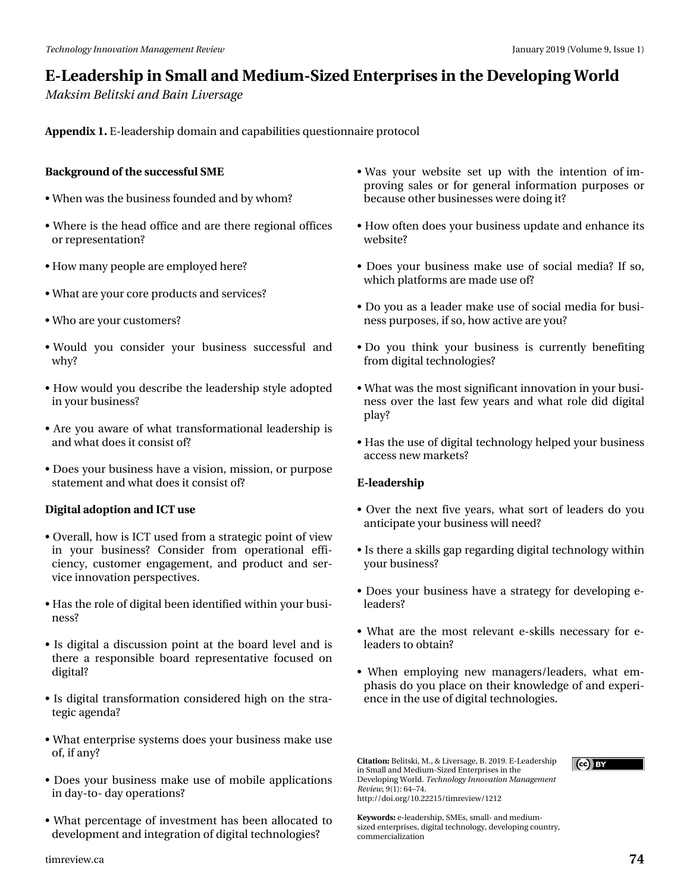# HOChdghuvkis#g#/p doo#dgg#Phgixp OM}hg#Hgwhusulvhv#g#wkh#Ghyhorsigj#Zruog P dnvlp #Ehdwnl#dqq#Edlq#Olyhuvdih

Dsshqql{#4#H0bhdghuvkls#grpdlq#dqq#dsdeldwhv#xhvwlrqqdluh#surwrfro

Edfnjurxqg#i#wkh#xffhvvixc#VPH

- #Z khq#z dv#nkh #exvlqhvv#rxqghg#dqg#e | #z krp B
- -#Z khuh#v#wkh#khdg#iilfh#dqg#duh#wkhuh#uhjlrqdd#iilfhv# r u#ths uhvhqvdvlr qB
- K r z #p dq| #shr soh#duh #hp sor| hg#k huh B
- #Z kdw#duh#rxu#ruh#surgxfw#dqg#vhuylfhvB
- –#Zkr#duh#rxu#xwwrphuvB
- → #Ζ rxog ##| rx##frqvlghu##| rxu##exvlqhvv##vxffhvvixo##dqg#  $z \nmid B$
- # Krz #zrxog#, rx#ghvfuleh # uk h#bhdghuvkls# wy oh # dgrswhg# lq#rxu#exvlqhwB
- -#Duh# rx#dz duh#ri#z kdw#wudqvirup dwlrqdo#bhdghuwkls#lv# dqg#z kdw#grhv#w#rqvlvw#iB
- -#Grhv#rxu#exvlqhvv#kdyh#d#ylvlrq/#plvvlrq/#u#sxusrvh# wowhp hqw#dqg# kdw#grhv#w#rqvlw#iB
- Gljlwdo#dgrswlrq#dqg#LFW#xvh
- #Ryhudoo/#krz#v#LFW#xvhg#lurp#d#ww.dwhjlf#srlqw#i#ylhz# lq#|rxu#exvlqhwB#Frqvlghu#iurp#rshudwlrqdd#hiil0 flhqf | /# xww p hu#hqj dj hp hqw#dqg#surgxfw#dqg#vhu0 ylf h#qqr ydwr q#shwshf wyhv1
- —#Kdv#wkh#uroh#i#gljlwdo#ehhq#lghqwlilhg#zlwklq#;rxu#exvl0 qhwB
- —#Lv#gljlwdo#d#glvfxvvlrq#srlqw#dw#wk.h#erdug#ohyho#dqg#lv# wkhuh#d#uhvsrqvledn#erdug#uhsuhvhqvdwlyh#irfxvhg#rq# ali lwdB
- -#Lv#gljlwdc#wudqvirupdwlrq#frqvlghuhg#kljk#rq#wkh#ww.d0 whj If #dj hqgdB
- -#Z kdwhaqwhusulvh#v|whp v#grhv#rxu#exvlghvv#p dnh#xvh# ri/#ti#dalB
- -#Grhv# rxu#exvlqhvv#pdnh#xvh#ri#preloh#dssolfdwlrqv# lq#gd| 0wr 0#gd| # shudwlr qvB
- $-\#Z$  k dwts huf hqwdi h#ri#qyhwp hqwtk dv#ehhq#doorfdwhg#wr# ghyhorsphqw#dqg#qwhjudwlrq#i#gljlwdd#mfkqrorjlhvB
- -#Z dv## rxu#z hevlvh##vhw#\*ks#tzlwk##wkh##lqwhqwlrq##ri#lp0 sur ylqj#vdohv#ru#iru#jhqhudo#lqirupdwrq#sxusrvhv#ru# ehf dx vh# wk hu#ex vlghvvhv# huh#gr lgj #wB
- -#Krz#iwhq#grhv#rxw#exvlqhvv#xsgdwh#dqg#hqkdqfh#lww# z hevlwhB
- -#Grhv# rxu#exvlqhvv#pdnh#xvh#ri#vrfldo#phgldB#Li#vr/# z klfk#sodwirup v#duh#pdgh#xvh#iB
- -#Gr# rx#dv#d#bhdghu#pdnh#xvh#ri#vrfldo#phgld#lru#exvl0 qhvv#sxusrvhv/#i#vr/#krz#dfwlyh#duh#rxB
- —#Gr##|rx##wklqn##|rxu##exvlqhvv##lv##xuuhqwo|##ehqhilwlqj# iurp#gljlwdo#nhfkqrorjlhvB
- —#Zkdwożd∨#wkh#pr∨w#vljqlilfdqw#qqrydwlrq#lq#;rxu#exvl0 qhvv#r yhu#wkh#odvv#ihz #| hduv#dqg#z kdv#ur oh#glg#gljlwdo# sod|B
- #Kd∨# wk h#x vh#i#gljlwdo# whfk qrorj|#khoshg#;rxu#ex vlqhvv# df f hw#ghz #p dunhwB

**H0ddghuvkls** 

- # Ryhu# wk h # q h { w # lyh # | h duv/ # z k dw # vr w # i # dn d g huv # g r # r x # dqwlflsdwh#rxu#exvlqhvv#zloo#qhhqB
- —#Lv#wkhuh#d#vnloov#jds#uhjduglqj#gljlwdo#whfkqrorj|#zlwklq# | r x u#e x vigh w B
- —#Grhv#|rxu#exvlqhvv#kdyh#d#vwudwhj|#iru#ghyhorslqj#h0 dhdahuvB
- -#Z kdw#duh#wkh#p rw#uhdhydqw#h0vnloov#qhfhvvdu|#iru#h0 dndghuv#w#ewdlqB
- -#Z khq#hp sor|lqj#qhz #p dqdj hw2dndghw/#z kdw#hp 0 skdvlv#gr#rx#sodfh#rq#wkhlu#nqrzohgjh#ri#dqg#h{shul0 hqfh#q#wkh#xvh#i#gljlwdc#whfkqrorjlhv1

Flvdwlr q=Ehdwnl/#P 1/# #Olyhuvdj h/#E1#534<1#H0Chdghuvkls# lq#Vp doc#dqg#P hglxp 0M}hg#Hqvhusulvhv#q#wkh# Ghyhorsiqj#Zruog1#/Vhfkqrorj|#Lqqrydwlrq#Pdqdjhphqw# Uhylhz /#+4, #97': 7# kws=22gr I1r y 2431555482Mp uhylhz 24545

Nh| z r ugv=#10dndghuvkls/#VP Hv/#vp doo0#dqg#p hglxp 0 vl}hg#hqvhusulvhv/#gljlvdo#mlfkqrorj|/#ghyhorslqj#frxqwu|/# frpphufldol}dwirq